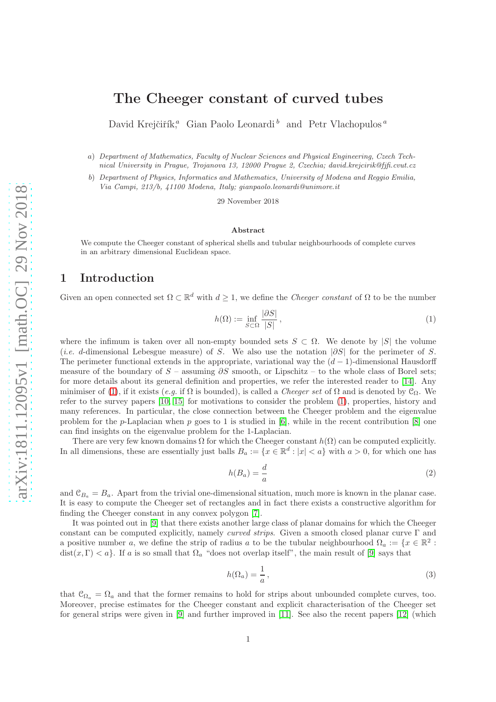# David Krejčiřík,<sup>a</sup> Gian Paolo Leonardi <sup>b</sup> and Petr Vlachopulos<sup>a</sup>

a) Department of Mathematics, Faculty of Nuclear Sciences and Physical Engineering, Czech Technical University in Prague, Trojanova 13, 12000 Prague 2, Czechia; david.krejcirik@fjfi.cvut.cz

The Cheeger constant of curved tubes

b) Department of Physics, Informatics and Mathematics, University of Modena and Reggio Emilia, Via Campi, 213/b, 41100 Modena, Italy; gianpaolo.leonardi@unimore.it

29 November 2018

### Abstract

We compute the Cheeger constant of spherical shells and tubular neighbourhoods of complete curves in an arbitrary dimensional Euclidean space.

# 1 Introduction

Given an open connected set  $\Omega \subset \mathbb{R}^d$  with  $d \geq 1$ , we define the *Cheeger constant* of  $\Omega$  to be the number

<span id="page-0-0"></span>
$$
h(\Omega) := \inf_{S \subset \Omega} \frac{|\partial S|}{|S|},\tag{1}
$$

where the infimum is taken over all non-empty bounded sets  $S \subset \Omega$ . We denote by |S| the volume (*i.e. d*-dimensional Lebesgue measure) of S. We also use the notation  $|\partial S|$  for the perimeter of S. The perimeter functional extends in the appropriate, variational way the  $(d-1)$ -dimensional Hausdorff measure of the boundary of  $S$  – assuming  $\partial S$  smooth, or Lipschitz – to the whole class of Borel sets; for more details about its general definition and properties, we refer the interested reader to [\[14\]](#page-5-0). Any minimiser of [\(1\)](#page-0-0), if it exists (e.g. if  $\Omega$  is bounded), is called a *Cheeger set* of  $\Omega$  and is denoted by  $\mathfrak{C}_{\Omega}$ . We refer to the survey papers [\[10,](#page-5-1) [15\]](#page-5-2) for motivations to consider the problem [\(1\)](#page-0-0), properties, history and many references. In particular, the close connection between the Cheeger problem and the eigenvalue problem for the p-Laplacian when p goes to 1 is studied in [\[6\]](#page-4-0), while in the recent contribution [\[8\]](#page-4-1) one can find insights on the eigenvalue problem for the 1-Laplacian.

There are very few known domains  $\Omega$  for which the Cheeger constant  $h(\Omega)$  can be computed explicitly. In all dimensions, these are essentially just balls  $B_a := \{x \in \mathbb{R}^d : |x| < a\}$  with  $a > 0$ , for which one has

<span id="page-0-1"></span>
$$
h(B_a) = \frac{d}{a} \tag{2}
$$

and  $\mathcal{C}_{B_1} = B_a$ . Apart from the trivial one-dimensional situation, much more is known in the planar case. It is easy to compute the Cheeger set of rectangles and in fact there exists a constructive algorithm for finding the Cheeger constant in any convex polygon [\[7\]](#page-4-2).

It was pointed out in [\[9\]](#page-5-3) that there exists another large class of planar domains for which the Cheeger constant can be computed explicitly, namely *curved strips*. Given a smooth closed planar curve  $\Gamma$  and a positive number a, we define the strip of radius a to be the tubular neighbourhood  $\Omega_a := \{x \in \mathbb{R}^2 :$  $dist(x, \Gamma) < a$ . If a is so small that  $\Omega_a$  "does not overlap itself", the main result of [\[9\]](#page-5-3) says that

<span id="page-0-2"></span>
$$
h(\Omega_a) = \frac{1}{a},\tag{3}
$$

that  $\mathcal{C}_{\Omega_a} = \Omega_a$  and that the former remains to hold for strips about unbounded complete curves, too. Moreover, precise estimates for the Cheeger constant and explicit characterisation of the Cheeger set for general strips were given in [\[9\]](#page-5-3) and further improved in [\[11\]](#page-5-4). See also the recent papers [\[12\]](#page-5-5) (which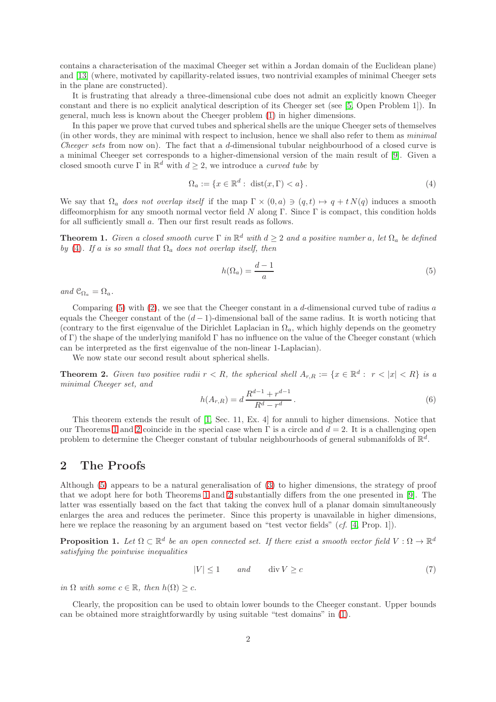contains a characterisation of the maximal Cheeger set within a Jordan domain of the Euclidean plane) and [\[13\]](#page-5-6) (where, motivated by capillarity-related issues, two nontrivial examples of minimal Cheeger sets in the plane are constructed).

It is frustrating that already a three-dimensional cube does not admit an explicitly known Cheeger constant and there is no explicit analytical description of its Cheeger set (see [\[5,](#page-4-3) Open Problem 1]). In general, much less is known about the Cheeger problem [\(1\)](#page-0-0) in higher dimensions.

In this paper we prove that curved tubes and spherical shells are the unique Cheeger sets of themselves (in other words, they are minimal with respect to inclusion, hence we shall also refer to them as minimal Cheeger sets from now on). The fact that a d-dimensional tubular neighbourhood of a closed curve is a minimal Cheeger set corresponds to a higher-dimensional version of the main result of [\[9\]](#page-5-3). Given a closed smooth curve  $\Gamma$  in  $\mathbb{R}^d$  with  $d \geq 2$ , we introduce a *curved tube* by

<span id="page-1-0"></span>
$$
\Omega_a := \{ x \in \mathbb{R}^d : \operatorname{dist}(x, \Gamma) < a \}. \tag{4}
$$

We say that  $\Omega_a$  does not overlap itself if the map  $\Gamma \times (0, a) \ni (q, t) \mapsto q + t N(q)$  induces a smooth diffeomorphism for any smooth normal vector field N along Γ. Since Γ is compact, this condition holds for all sufficiently small a. Then our first result reads as follows.

<span id="page-1-2"></span>**Theorem 1.** Given a closed smooth curve  $\Gamma$  in  $\mathbb{R}^d$  with  $d \geq 2$  and a positive number a, let  $\Omega_a$  be defined by [\(4\)](#page-1-0). If a is so small that  $\Omega_a$  does not overlap itself, then

<span id="page-1-1"></span>
$$
h(\Omega_a) = \frac{d-1}{a} \tag{5}
$$

and  $\mathcal{C}_{\Omega_a} = \Omega_a$ .

Comparing  $(5)$  with  $(2)$ , we see that the Cheeger constant in a d-dimensional curved tube of radius a equals the Cheeger constant of the  $(d-1)$ -dimensional ball of the same radius. It is worth noticing that (contrary to the first eigenvalue of the Dirichlet Laplacian in  $\Omega_a$ , which highly depends on the geometry of Γ) the shape of the underlying manifold  $\Gamma$  has no influence on the value of the Cheeger constant (which can be interpreted as the first eigenvalue of the non-linear 1-Laplacian).

We now state our second result about spherical shells.

<span id="page-1-3"></span>**Theorem 2.** Given two positive radii  $r < R$ , the spherical shell  $A_{r,R} := \{x \in \mathbb{R}^d : r < |x| < R\}$  is a minimal Cheeger set, and

$$
h(A_{r,R}) = d \frac{R^{d-1} + r^{d-1}}{R^d - r^d}.
$$
\n(6)

This theorem extends the result of [\[1,](#page-4-4) Sec. 11, Ex. 4] for annuli to higher dimensions. Notice that our Theorems [1](#page-1-2) and [2](#page-1-3) coincide in the special case when  $\Gamma$  is a circle and  $d = 2$ . It is a challenging open problem to determine the Cheeger constant of tubular neighbourhoods of general submanifolds of  $\mathbb{R}^d$ .

# 2 The Proofs

Although [\(5\)](#page-1-1) appears to be a natural generalisation of [\(3\)](#page-0-2) to higher dimensions, the strategy of proof that we adopt here for both Theorems [1](#page-1-2) and [2](#page-1-3) substantially differs from the one presented in [\[9\]](#page-5-3). The latter was essentially based on the fact that taking the convex hull of a planar domain simultaneously enlarges the area and reduces the perimeter. Since this property is unavailable in higher dimensions, here we replace the reasoning by an argument based on "test vector fields" (cf. [\[4,](#page-4-5) Prop. 1]).

<span id="page-1-4"></span>**Proposition 1.** Let  $\Omega \subset \mathbb{R}^d$  be an open connected set. If there exist a smooth vector field  $V : \Omega \to \mathbb{R}^d$ satisfying the pointwise inequalities

$$
|V| \le 1 \qquad and \qquad \text{div}\,V \ge c \tag{7}
$$

in  $\Omega$  with some  $c \in \mathbb{R}$ , then  $h(\Omega) \geq c$ .

Clearly, the proposition can be used to obtain lower bounds to the Cheeger constant. Upper bounds can be obtained more straightforwardly by using suitable "test domains" in [\(1\)](#page-0-0).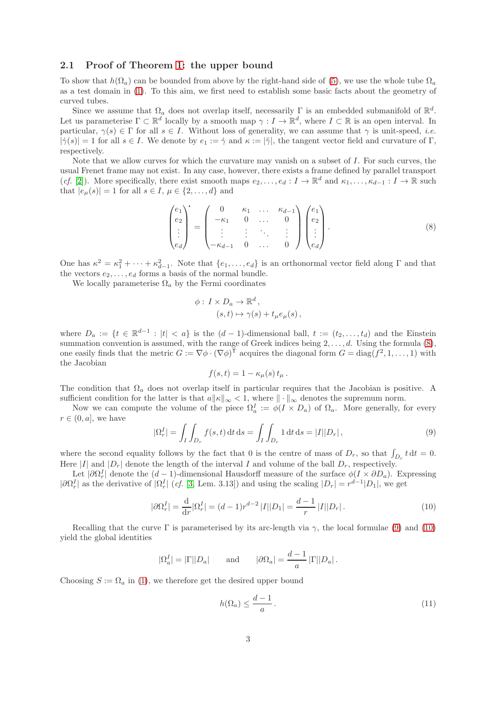## <span id="page-2-4"></span>2.1 Proof of Theorem [1:](#page-1-2) the upper bound

To show that  $h(\Omega_a)$  can be bounded from above by the right-hand side of [\(5\)](#page-1-1), we use the whole tube  $\Omega_a$ as a test domain in [\(1\)](#page-0-0). To this aim, we first need to establish some basic facts about the geometry of curved tubes.

Since we assume that  $\Omega_a$  does not overlap itself, necessarily  $\Gamma$  is an embedded submanifold of  $\mathbb{R}^d$ . Let us parameterise  $\Gamma \subset \mathbb{R}^d$  locally by a smooth map  $\gamma: I \to \mathbb{R}^d$ , where  $I \subset \mathbb{R}$  is an open interval. In particular,  $\gamma(s) \in \Gamma$  for all  $s \in I$ . Without loss of generality, we can assume that  $\gamma$  is unit-speed, *i.e.*  $|\dot{\gamma}(s)| = 1$  for all  $s \in I$ . We denote by  $e_1 := \dot{\gamma}$  and  $\kappa := |\ddot{\gamma}|$ , the tangent vector field and curvature of Γ, respectively.

Note that we allow curves for which the curvature may vanish on a subset of  $I$ . For such curves, the usual Frenet frame may not exist. In any case, however, there exists a frame defined by parallel transport (cf. [\[2\]](#page-4-6)). More specifically, there exist smooth maps  $e_2, \ldots, e_d : I \to \mathbb{R}^d$  and  $\kappa_1, \ldots, \kappa_{d-1} : I \to \mathbb{R}$  such that  $|e_{\mu}(s)| = 1$  for all  $s \in I, \mu \in \{2, ..., d\}$  and

<span id="page-2-0"></span>
$$
\begin{pmatrix} e_1 \\ e_2 \\ \vdots \\ e_d \end{pmatrix} = \begin{pmatrix} 0 & \kappa_1 & \dots & \kappa_{d-1} \\ -\kappa_1 & 0 & \dots & 0 \\ \vdots & \vdots & \ddots & \vdots \\ -\kappa_{d-1} & 0 & \dots & 0 \end{pmatrix} \begin{pmatrix} e_1 \\ e_2 \\ \vdots \\ e_d \end{pmatrix} . \tag{8}
$$

One has  $\kappa^2 = \kappa_1^2 + \cdots + \kappa_{d-1}^2$ . Note that  $\{e_1, \ldots, e_d\}$  is an orthonormal vector field along  $\Gamma$  and that the vectors  $e_2, \ldots, e_d$  forms a basis of the normal bundle.

We locally parameterise  $\Omega_a$  by the Fermi coordinates

$$
\phi: I \times D_a \to \mathbb{R}^d,
$$
  

$$
(s, t) \mapsto \gamma(s) + t_\mu e_\mu(s),
$$

where  $D_a := \{t \in \mathbb{R}^{d-1} : |t| < a\}$  is the  $(d-1)$ -dimensional ball,  $t := (t_2, \ldots, t_d)$  and the Einstein summation convention is assumed, with the range of Greek indices being  $2, \ldots, d$ . Using the formula  $(8)$ , one easily finds that the metric  $G := \nabla \phi \cdot (\nabla \phi)^{\mathsf{T}}$  acquires the diagonal form  $G = \text{diag}(f^2, 1, \ldots, 1)$  with the Jacobian

$$
f(s,t) = 1 - \kappa_{\mu}(s) t_{\mu}.
$$

The condition that  $\Omega_a$  does not overlap itself in particular requires that the Jacobian is positive. A sufficient condition for the latter is that  $a||\kappa||_{\infty} < 1$ , where  $||\cdot||_{\infty}$  denotes the supremum norm.

Now we can compute the volume of the piece  $\Omega_a^I := \phi(I \times D_a)$  of  $\Omega_a$ . More generally, for every  $r \in (0, a]$ , we have

<span id="page-2-1"></span>
$$
|\Omega_r^I| = \int_I \int_{D_r} f(s, t) dt ds = \int_I \int_{D_r} 1 dt ds = |I||D_r|,
$$
\n(9)

where the second equality follows by the fact that 0 is the centre of mass of  $D_r$ , so that  $\int_{D_r} t dt = 0$ . Here |I| and  $|D_r|$  denote the length of the interval I and volume of the ball  $D_r$ , respectively.

Let  $|\partial\Omega_r^I|$  denote the  $(d-1)$ -dimensional Hausdorff measure of the surface  $\phi(I \times \partial D_a)$ . Expressing  $|\partial\Omega_r^I|$  as the derivative of  $|\Omega_r^I|$  (*cf.* [\[3,](#page-4-7) Lem. 3.13]) and using the scaling  $|D_r| = r^{d-1}|D_1|$ , we get

<span id="page-2-2"></span>
$$
|\partial \Omega_r^I| = \frac{\mathrm{d}}{\mathrm{d}r} |\Omega_r^I| = (d-1)r^{d-2} |I||D_1| = \frac{d-1}{r} |I||D_r|.
$$
 (10)

Recalling that the curve Γ is parameterised by its arc-length via  $\gamma$ , the local formulae [\(9\)](#page-2-1) and [\(10\)](#page-2-2) yield the global identities

$$
|\Omega_a^I| = |\Gamma||D_a|
$$
 and  $|\partial \Omega_a| = \frac{d-1}{a} |\Gamma||D_a|$ .

Choosing  $S := \Omega_a$  in [\(1\)](#page-0-0), we therefore get the desired upper bound

<span id="page-2-3"></span>
$$
h(\Omega_a) \le \frac{d-1}{a} \,. \tag{11}
$$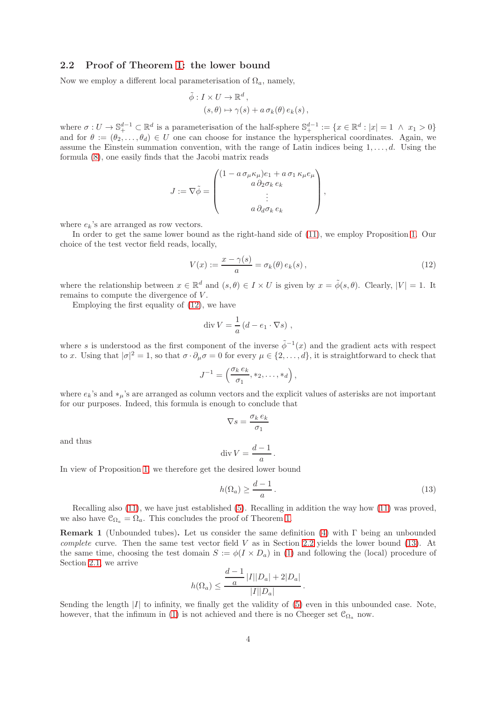### <span id="page-3-1"></span>2.2 Proof of Theorem [1:](#page-1-2) the lower bound

Now we employ a different local parameterisation of  $\Omega_a$ , namely,

$$
\tilde{\phi}: I \times U \to \mathbb{R}^d, (s, \theta) \mapsto \gamma(s) + a \sigma_k(\theta) e_k(s),
$$

where  $\sigma: U \to \mathbb{S}_{+}^{d-1} \subset \mathbb{R}^{d}$  is a parameterisation of the half-sphere  $\mathbb{S}_{+}^{d-1} := \{x \in \mathbb{R}^{d} : |x| = 1 \land x_{1} > 0\}$ and for  $\theta := (\theta_2, \ldots, \theta_d) \in U$  one can choose for instance the hyperspherical coordinates. Again, we assume the Einstein summation convention, with the range of Latin indices being  $1, \ldots, d$ . Using the formula [\(8\)](#page-2-0), one easily finds that the Jacobi matrix reads

$$
J := \nabla \tilde{\phi} = \begin{pmatrix} (1 - a \sigma_{\mu} \kappa_{\mu}) e_1 + a \sigma_1 \kappa_{\mu} e_{\mu} \\ a \partial_2 \sigma_k e_k \\ \vdots \\ a \partial_d \sigma_k e_k \end{pmatrix},
$$

where  $e_k$ 's are arranged as row vectors.

In order to get the same lower bound as the right-hand side of [\(11\)](#page-2-3), we employ Proposition [1.](#page-1-4) Our choice of the test vector field reads, locally,

<span id="page-3-0"></span>
$$
V(x) := \frac{x - \gamma(s)}{a} = \sigma_k(\theta) e_k(s), \qquad (12)
$$

where the relationship between  $x \in \mathbb{R}^d$  and  $(s, \theta) \in I \times U$  is given by  $x = \tilde{\phi}(s, \theta)$ . Clearly,  $|V| = 1$ . It remains to compute the divergence of  $V$ .

Employing the first equality of [\(12\)](#page-3-0), we have

$$
\operatorname{div} V = \frac{1}{a} \left( d - e_1 \cdot \nabla s \right) ,
$$

where s is understood as the first component of the inverse  $\tilde{\phi}^{-1}(x)$  and the gradient acts with respect to x. Using that  $|\sigma|^2 = 1$ , so that  $\sigma \cdot \partial_\mu \sigma = 0$  for every  $\mu \in \{2, \ldots, d\}$ , it is straightforward to check that

$$
J^{-1} = \left(\frac{\sigma_k e_k}{\sigma_1}, *_2, \dots, *_d\right),
$$

where  $e_k$ 's and  $*_u$ 's are arranged as column vectors and the explicit values of asterisks are not important for our purposes. Indeed, this formula is enough to conclude that

$$
\nabla s = \frac{\sigma_k \, e_k}{\sigma_1}
$$

and thus

$$
\operatorname{div} V = \frac{d-1}{a}.
$$

In view of Proposition [1,](#page-1-4) we therefore get the desired lower bound

<span id="page-3-2"></span>
$$
h(\Omega_a) \ge \frac{d-1}{a} \,. \tag{13}
$$

Recalling also [\(11\)](#page-2-3), we have just established [\(5\)](#page-1-1). Recalling in addition the way how [\(11\)](#page-2-3) was proved, we also have  $\mathcal{C}_{\Omega_a} = \Omega_a$ . This concludes the proof of Theorem [1.](#page-1-2)

**Remark 1** (Unbounded tubes). Let us consider the same definition [\(4\)](#page-1-0) with  $\Gamma$  being an unbounded complete curve. Then the same test vector field  $V$  as in Section [2.2](#page-3-1) yields the lower bound [\(13\)](#page-3-2). At the same time, choosing the test domain  $S := \phi(I \times D_a)$  in [\(1\)](#page-0-0) and following the (local) procedure of Section [2.1,](#page-2-4) we arrive

$$
h(\Omega_a) \le \frac{\frac{d-1}{a} |I||D_a| + 2|D_a|}{|I||D_a|}.
$$

Sending the length  $|I|$  to infinity, we finally get the validity of  $(5)$  even in this unbounded case. Note, however, that the infimum in [\(1\)](#page-0-0) is not achieved and there is no Cheeger set  $\mathcal{C}_{\Omega_a}$  now.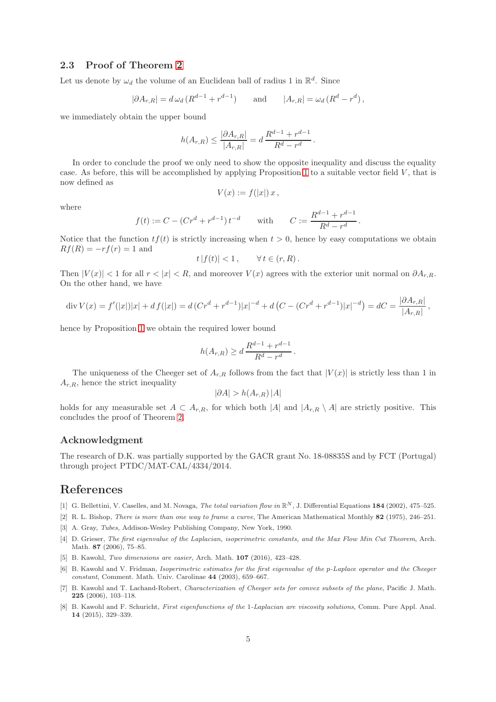# 2.3 Proof of Theorem [2](#page-1-3)

Let us denote by  $\omega_d$  the volume of an Euclidean ball of radius 1 in  $\mathbb{R}^d$ . Since

$$
|\partial A_{r,R}| = d\,\omega_d\,(R^{d-1} + r^{d-1}) \qquad \text{and} \qquad |A_{r,R}| = \omega_d\,(R^d - r^d)\,,
$$

we immediately obtain the upper bound

$$
h(A_{r,R}) \le \frac{|\partial A_{r,R}|}{|A_{r,R}|} = d \frac{R^{d-1} + r^{d-1}}{R^d - r^d}.
$$

In order to conclude the proof we only need to show the opposite inequality and discuss the equality case. As before, this will be accomplished by applying Proposition [1](#page-1-4) to a suitable vector field  $V$ , that is now defined as

$$
V(x) := f(|x|) x,
$$

where

$$
f(t) := C - (C r^d + r^{d-1}) t^{-d} \qquad \text{with} \qquad C := \frac{R^{d-1} + r^{d-1}}{R^d - r^d} \, .
$$

Notice that the function  $tf(t)$  is strictly increasing when  $t > 0$ , hence by easy computations we obtain  $Rf(R) = -rf(r) = 1$  and

$$
t |f(t)| < 1, \qquad \forall \, t \in (r, R).
$$

Then  $|V(x)| < 1$  for all  $r < |x| < R$ , and moreover  $V(x)$  agrees with the exterior unit normal on  $\partial A_{r,R}$ . On the other hand, we have

$$
\operatorname{div} V(x) = f'(|x|)|x| + df(|x|) = d(Cr^d + r^{d-1})|x|^{-d} + d(C - (Cr^d + r^{d-1})|x|^{-d}) = dC = \frac{|\partial A_{r,R}|}{|A_{r,R}|},
$$

hence by Proposition [1](#page-1-4) we obtain the required lower bound

$$
h(A_{r,R}) \ge d \frac{R^{d-1} + r^{d-1}}{R^d - r^d}.
$$

The uniqueness of the Cheeger set of  $A_{r,R}$  follows from the fact that  $|V(x)|$  is strictly less than 1 in  $A_{r,R}$ , hence the strict inequality

$$
|\partial A| > h(A_{r,R}) |A|
$$

holds for any measurable set  $A \subset A_{r,R}$ , for which both |A| and  $|A_{r,R} \setminus A|$  are strictly positive. This concludes the proof of Theorem [2.](#page-1-3)

### Acknowledgment

The research of D.K. was partially supported by the GACR grant No. 18-08835S and by FCT (Portugal) through project PTDC/MAT-CAL/4334/2014.

# References

- <span id="page-4-6"></span><span id="page-4-4"></span>[1] G. Bellettini, V. Caselles, and M. Novaga, *The total variation flow in*  $\mathbb{R}^N$ , J. Differential Equations 184 (2002), 475–525.
- <span id="page-4-7"></span>[2] R. L. Bishop, There is more than one way to frame a curve, The American Mathematical Monthly 82 (1975), 246–251.
- <span id="page-4-5"></span>[3] A. Gray, Tubes, Addison-Wesley Publishing Company, New York, 1990.
- [4] D. Grieser, The first eigenvalue of the Laplacian, isoperimetric constants, and the Max Flow Min Cut Theorem, Arch. Math. 87 (2006), 75–85.
- <span id="page-4-3"></span><span id="page-4-0"></span>[5] B. Kawohl, Two dimensions are easier, Arch. Math. **107** (2016), 423-428.
- [6] B. Kawohl and V. Fridman, Isoperimetric estimates for the first eigenvalue of the p-Laplace operator and the Cheeger constant, Comment. Math. Univ. Carolinae 44 (2003), 659–667.
- <span id="page-4-2"></span>[7] B. Kawohl and T. Lachand-Robert, Characterization of Cheeger sets for convex subsets of the plane, Pacific J. Math. 225 (2006), 103–118.
- <span id="page-4-1"></span>[8] B. Kawohl and F. Schuricht, First eigenfunctions of the 1-Laplacian are viscosity solutions, Comm. Pure Appl. Anal. 14 (2015), 329–339.